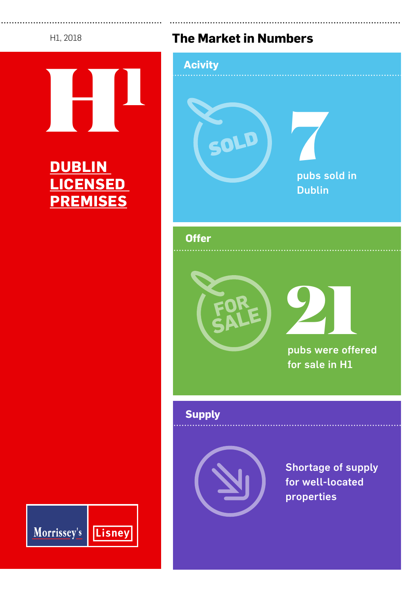### H1, 2018



# **DUBLIN LICENSED PREMISES**

# **The Market in Numbers**



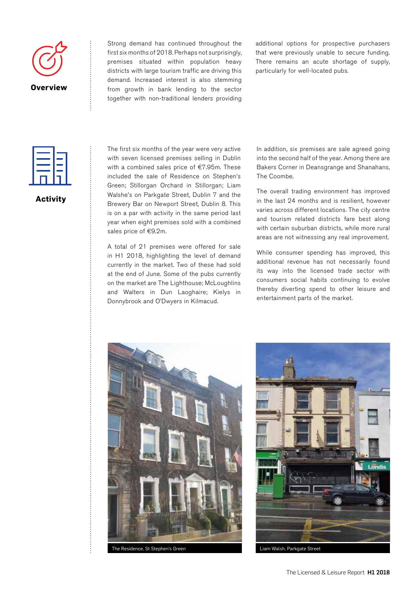

Strong demand has continued throughout the first six months of 2018. Perhaps not surprisingly, premises situated within population heavy districts with large tourism traffic are driving this demand. Increased interest is also stemming from growth in bank lending to the sector together with non-traditional lenders providing additional options for prospective purchasers that were previously unable to secure funding. There remains an acute shortage of supply, particularly for well-located pubs.



### **Activity**

The first six months of the year were very active with seven licensed premises selling in Dublin with a combined sales price of €7.95m. These included the sale of Residence on Stephen's Green; Stillorgan Orchard in Stillorgan; Liam Walshe's on Parkgate Street, Dublin 7 and the Brewery Bar on Newport Street, Dublin 8. This is on a par with activity in the same period last year when eight premises sold with a combined sales price of €9.2m.

A total of 21 premises were offered for sale in H1 2018, highlighting the level of demand currently in the market. Two of these had sold at the end of June. Some of the pubs currently on the market are The Lighthouse; McLoughlins and Walters in Dun Laoghaire; Kielys in Donnybrook and O'Dwyers in Kilmacud.

In addition, six premises are sale agreed going into the second half of the year. Among there are Bakers Corner in Deansgrange and Shanahans, The Coombe.

The overall trading environment has improved in the last 24 months and is resilient, however varies across different locations. The city centre and tourism related districts fare best along with certain suburban districts, while more rural areas are not witnessing any real improvement.

While consumer spending has improved, this additional revenue has not necessarily found its way into the licensed trade sector with consumers social habits continuing to evolve thereby diverting spend to other leisure and entertainment parts of the market.



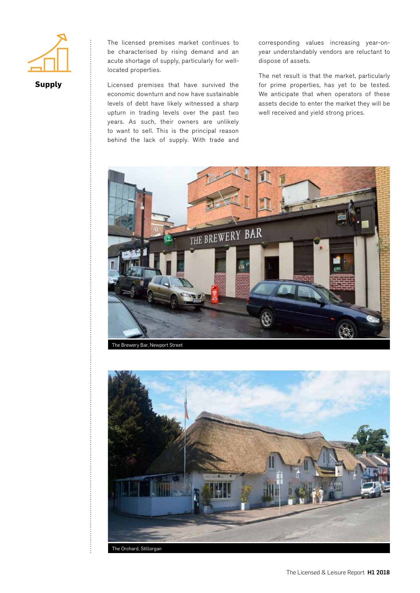

**Supply**

The licensed premises market continues to be characterised by rising demand and an acute shortage of supply, particularly for welllocated properties.

Licensed premises that have survived the economic downturn and now have sustainable levels of debt have likely witnessed a sharp upturn in trading levels over the past two years. As such, their owners are unlikely to want to sell. This is the principal reason behind the lack of supply. With trade and

corresponding values increasing year-onyear understandably vendors are reluctant to dispose of assets.

The net result is that the market, particularly for prime properties, has yet to be tested. We anticipate that when operators of these assets decide to enter the market they will be well received and yield strong prices.



The Brewery Bar, Newport Street



The Licensed & Leisure Report H1 2018